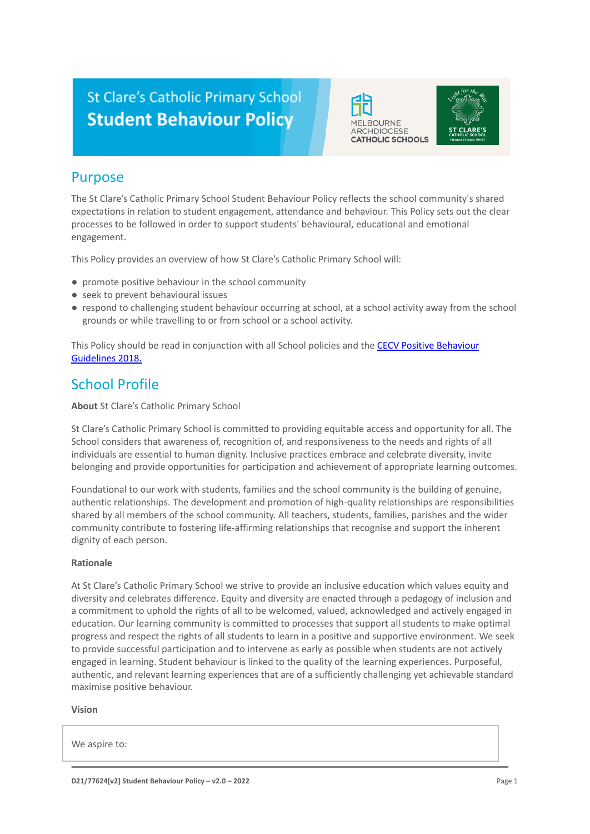# **St Clare's Catholic Primary School Student Behaviour Policy**





## Purpose

The St Clare's Catholic Primary School Student Behaviour Policy reflects the school community's shared expectations in relation to student engagement, attendance and behaviour. This Policy sets out the clear processes to be followed in order to support students' behavioural, educational and emotional engagement.

This Policy provides an overview of how St Clare's Catholic Primary School will:

- promote positive behaviour in the school community
- seek to prevent behavioural issues
- respond to challenging student behaviour occurring at school, at a school activity away from the school grounds or while travelling to or from school or a school activity.

This Policy should be read in conjunction with all School policies and the [CECV Positive Behaviour](https://www.cecv.catholic.edu.au/getmedia/bc1d235d-9a98-4bb4-b3ac-84b50fa7c639/CECV-Positive-Behaviour-Guidelines_FINAL2.aspx?ext=.pdf) [Guidelines 2018.](https://www.cecv.catholic.edu.au/getmedia/bc1d235d-9a98-4bb4-b3ac-84b50fa7c639/CECV-Positive-Behaviour-Guidelines_FINAL2.aspx?ext=.pdf)

### School Profile

**About** St Clare's Catholic Primary School

St Clare's Catholic Primary School is committed to providing equitable access and opportunity for all. The School considers that awareness of, recognition of, and responsiveness to the needs and rights of all individuals are essential to human dignity. Inclusive practices embrace and celebrate diversity, invite belonging and provide opportunities for participation and achievement of appropriate learning outcomes.

Foundational to our work with students, families and the school community is the building of genuine, authentic relationships. The development and promotion of high-quality relationships are responsibilities shared by all members of the school community. All teachers, students, families, parishes and the wider community contribute to fostering life-affirming relationships that recognise and support the inherent dignity of each person.

#### **Rationale**

At St Clare's Catholic Primary School we strive to provide an inclusive education which values equity and diversity and celebrates difference. Equity and diversity are enacted through a pedagogy of inclusion and a commitment to uphold the rights of all to be welcomed, valued, acknowledged and actively engaged in education. Our learning community is committed to processes that support all students to make optimal progress and respect the rights of all students to learn in a positive and supportive environment. We seek to provide successful participation and to intervene as early as possible when students are not actively engaged in learning. Student behaviour is linked to the quality of the learning experiences. Purposeful, authentic, and relevant learning experiences that are of a sufficiently challenging yet achievable standard maximise positive behaviour.

#### **Vision**

We aspire to: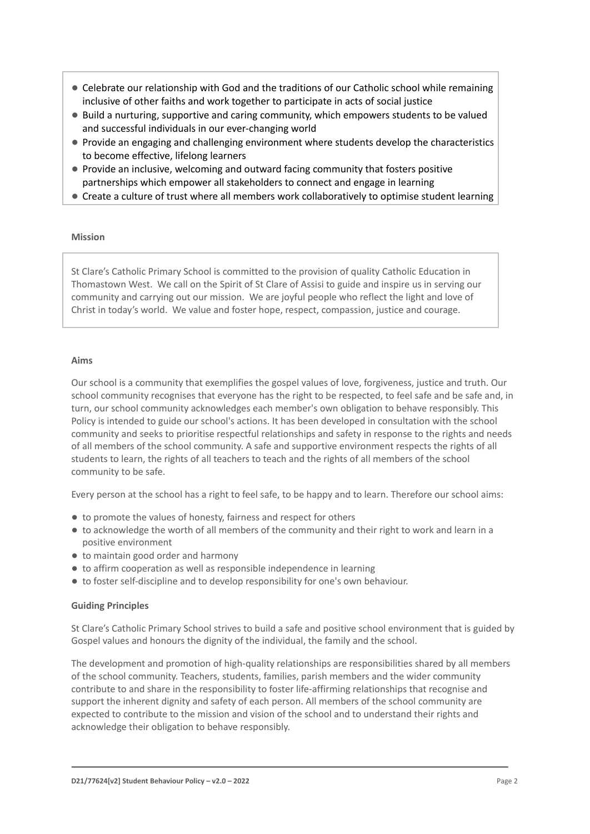- Celebrate our relationship with God and the traditions of our Catholic school while remaining inclusive of other faiths and work together to participate in acts of social justice
- Build a nurturing, supportive and caring community, which empowers students to be valued and successful individuals in our ever-changing world
- Provide an engaging and challenging environment where students develop the characteristics to become effective, lifelong learners
- Provide an inclusive, welcoming and outward facing community that fosters positive partnerships which empower all stakeholders to connect and engage in learning
- Create a culture of trust where all members work collaboratively to optimise student learning

#### **Mission**

St Clare's Catholic Primary School is committed to the provision of quality Catholic Education in Thomastown West. We call on the Spirit of St Clare of Assisi to guide and inspire us in serving our community and carrying out our mission. We are joyful people who reflect the light and love of Christ in today's world. We value and foster hope, respect, compassion, justice and courage.

#### **Aims**

Our school is a community that exemplifies the gospel values of love, forgiveness, justice and truth. Our school community recognises that everyone has the right to be respected, to feel safe and be safe and, in turn, our school community acknowledges each member's own obligation to behave responsibly. This Policy is intended to guide our school's actions. It has been developed in consultation with the school community and seeks to prioritise respectful relationships and safety in response to the rights and needs of all members of the school community. A safe and supportive environment respects the rights of all students to learn, the rights of all teachers to teach and the rights of all members of the school community to be safe.

Every person at the school has a right to feel safe, to be happy and to learn. Therefore our school aims:

- to promote the values of honesty, fairness and respect for others
- to acknowledge the worth of all members of the community and their right to work and learn in a positive environment
- to maintain good order and harmony
- to affirm cooperation as well as responsible independence in learning
- to foster self-discipline and to develop responsibility for one's own behaviour.

#### **Guiding Principles**

St Clare's Catholic Primary School strives to build a safe and positive school environment that is guided by Gospel values and honours the dignity of the individual, the family and the school.

The development and promotion of high-quality relationships are responsibilities shared by all members of the school community. Teachers, students, families, parish members and the wider community contribute to and share in the responsibility to foster life-affirming relationships that recognise and support the inherent dignity and safety of each person. All members of the school community are expected to contribute to the mission and vision of the school and to understand their rights and acknowledge their obligation to behave responsibly.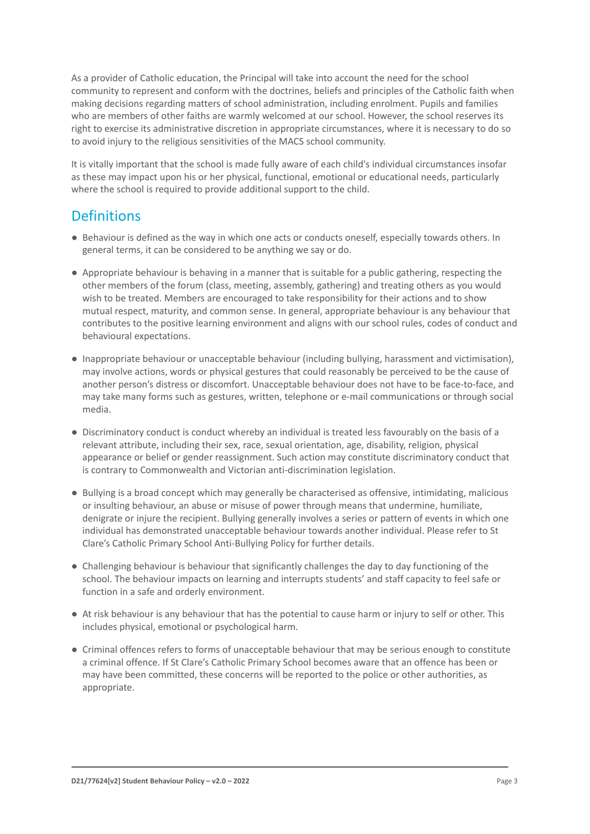As a provider of Catholic education, the Principal will take into account the need for the school community to represent and conform with the doctrines, beliefs and principles of the Catholic faith when making decisions regarding matters of school administration, including enrolment. Pupils and families who are members of other faiths are warmly welcomed at our school. However, the school reserves its right to exercise its administrative discretion in appropriate circumstances, where it is necessary to do so to avoid injury to the religious sensitivities of the MACS school community.

It is vitally important that the school is made fully aware of each child's individual circumstances insofar as these may impact upon his or her physical, functional, emotional or educational needs, particularly where the school is required to provide additional support to the child.

### **Definitions**

- Behaviour is defined as the way in which one acts or conducts oneself, especially towards others. In general terms, it can be considered to be anything we say or do.
- Appropriate behaviour is behaving in a manner that is suitable for a public gathering, respecting the other members of the forum (class, meeting, assembly, gathering) and treating others as you would wish to be treated. Members are encouraged to take responsibility for their actions and to show mutual respect, maturity, and common sense. In general, appropriate behaviour is any behaviour that contributes to the positive learning environment and aligns with our school rules, codes of conduct and behavioural expectations.
- Inappropriate behaviour or unacceptable behaviour (including bullying, harassment and victimisation), may involve actions, words or physical gestures that could reasonably be perceived to be the cause of another person's distress or discomfort. Unacceptable behaviour does not have to be face-to-face, and may take many forms such as gestures, written, telephone or e-mail communications or through social media.
- Discriminatory conduct is conduct whereby an individual is treated less favourably on the basis of a relevant attribute, including their sex, race, sexual orientation, age, disability, religion, physical appearance or belief or gender reassignment. Such action may constitute discriminatory conduct that is contrary to Commonwealth and Victorian anti-discrimination legislation.
- Bullying is a broad concept which may generally be characterised as offensive, intimidating, malicious or insulting behaviour, an abuse or misuse of power through means that undermine, humiliate, denigrate or injure the recipient. Bullying generally involves a series or pattern of events in which one individual has demonstrated unacceptable behaviour towards another individual. Please refer to St Clare's Catholic Primary School Anti-Bullying Policy for further details.
- Challenging behaviour is behaviour that significantly challenges the day to day functioning of the school. The behaviour impacts on learning and interrupts students' and staff capacity to feel safe or function in a safe and orderly environment.
- At risk behaviour is any behaviour that has the potential to cause harm or injury to self or other. This includes physical, emotional or psychological harm.
- Criminal offences refers to forms of unacceptable behaviour that may be serious enough to constitute a criminal offence. If St Clare's Catholic Primary School becomes aware that an offence has been or may have been committed, these concerns will be reported to the police or other authorities, as appropriate.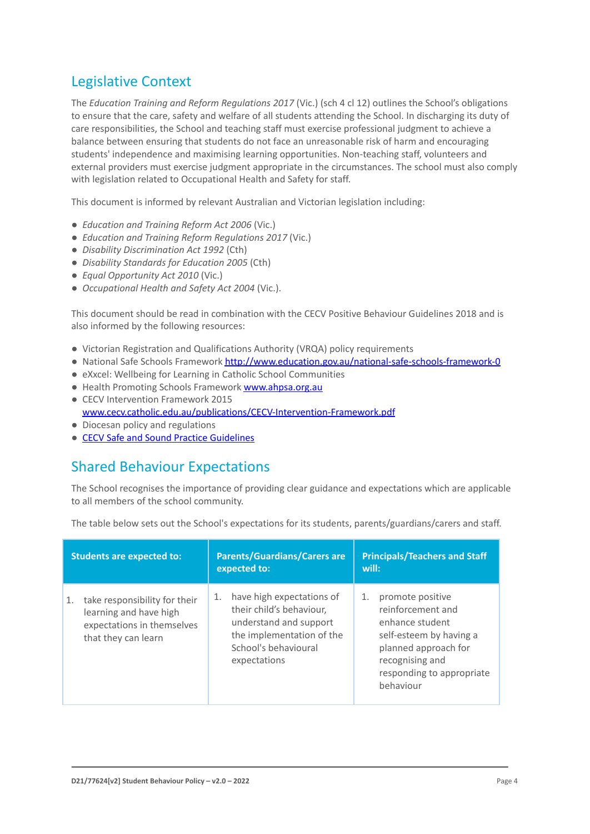## Legislative Context

The *Education Training and Reform Regulations 2017* (Vic.) (sch 4 cl 12) outlines the School's obligations to ensure that the care, safety and welfare of all students attending the School. In discharging its duty of care responsibilities, the School and teaching staff must exercise professional judgment to achieve a balance between ensuring that students do not face an unreasonable risk of harm and encouraging students' independence and maximising learning opportunities. Non-teaching staff, volunteers and external providers must exercise judgment appropriate in the circumstances. The school must also comply with legislation related to Occupational Health and Safety for staff.

This document is informed by relevant Australian and Victorian legislation including:

- *Education and Training Reform Act 2006* (Vic.)
- *Education and Training Reform Regulations 2017* (Vic.)
- *Disability Discrimination Act 1992* (Cth)
- *Disability Standards for Education 2005* (Cth)
- *Equal Opportunity Act 2010* (Vic.)
- *Occupational Health and Safety Act 2004* (Vic.).

This document should be read in combination with the CECV Positive Behaviour Guidelines 2018 and is also informed by the following resources:

- Victorian Registration and Qualifications Authority (VRQA) policy requirements
- National Safe Schools Framework <http://www.education.gov.au/national-safe-schools-framework-0>
- eXxcel: Wellbeing for Learning in Catholic School Communities
- Health Promoting Schools Framework [www.ahpsa.org.au](http://www.ahpsa.org.au)
- CECV Intervention Framework 2015 [www.cecv.catholic.edu.au/publications/CECV-Intervention-Framework.pdf](http://www.cecv.catholic.edu.au/publications/CECV-Intervention-Framework.pdf)
- Diocesan policy and regulations
- [CECV Safe and Sound Practice Guidelines](https://www.cecv.catholic.edu.au/getmedia/bad5e328-b5f9-4742-a66c-0c7f20ae21ff/Safe-and-Sound-Practice-Guidelines.aspx)

### Shared Behaviour Expectations

The School recognises the importance of providing clear guidance and expectations which are applicable to all members of the school community.

The table below sets out the School's expectations for its students, parents/guardians/carers and staff.

| <b>Students are expected to:</b>                                                                                   | <b>Parents/Guardians/Carers are</b><br>expected to:                                                                                                        | <b>Principals/Teachers and Staff</b><br>will:                                                                                                                                  |
|--------------------------------------------------------------------------------------------------------------------|------------------------------------------------------------------------------------------------------------------------------------------------------------|--------------------------------------------------------------------------------------------------------------------------------------------------------------------------------|
| take responsibility for their<br>1.<br>learning and have high<br>expectations in themselves<br>that they can learn | have high expectations of<br>1.<br>their child's behaviour,<br>understand and support<br>the implementation of the<br>School's behavioural<br>expectations | promote positive<br>1.<br>reinforcement and<br>enhance student<br>self-esteem by having a<br>planned approach for<br>recognising and<br>responding to appropriate<br>behaviour |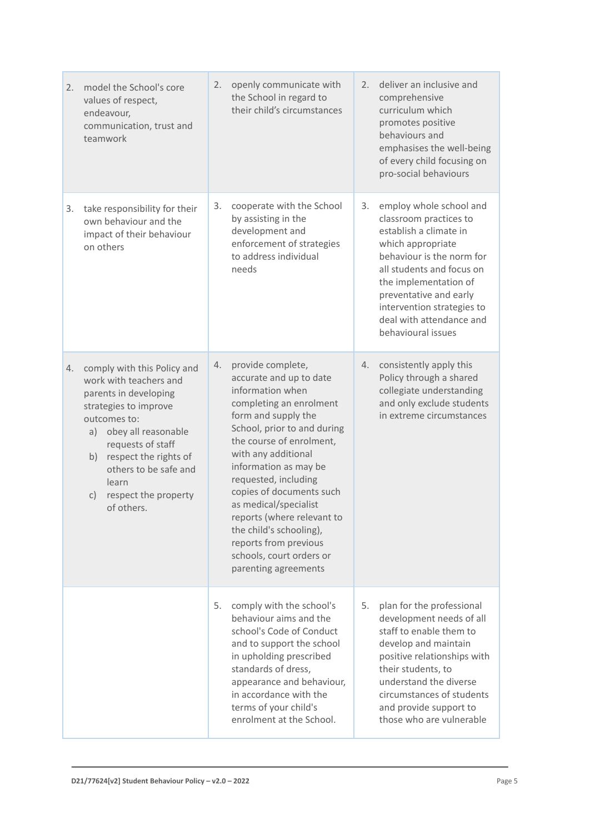| 2. | model the School's core<br>values of respect,<br>endeavour,<br>communication, trust and<br>teamwork                                                                                                                                                                                              | 2. | openly communicate with<br>the School in regard to<br>their child's circumstances                                                                                                                                                                                                                                                                                                                                                                | 2. | deliver an inclusive and<br>comprehensive<br>curriculum which<br>promotes positive<br>behaviours and<br>emphasises the well-being<br>of every child focusing on<br>pro-social behaviours                                                                                                      |
|----|--------------------------------------------------------------------------------------------------------------------------------------------------------------------------------------------------------------------------------------------------------------------------------------------------|----|--------------------------------------------------------------------------------------------------------------------------------------------------------------------------------------------------------------------------------------------------------------------------------------------------------------------------------------------------------------------------------------------------------------------------------------------------|----|-----------------------------------------------------------------------------------------------------------------------------------------------------------------------------------------------------------------------------------------------------------------------------------------------|
| 3. | take responsibility for their<br>own behaviour and the<br>impact of their behaviour<br>on others                                                                                                                                                                                                 | 3. | cooperate with the School<br>by assisting in the<br>development and<br>enforcement of strategies<br>to address individual<br>needs                                                                                                                                                                                                                                                                                                               | 3. | employ whole school and<br>classroom practices to<br>establish a climate in<br>which appropriate<br>behaviour is the norm for<br>all students and focus on<br>the implementation of<br>preventative and early<br>intervention strategies to<br>deal with attendance and<br>behavioural issues |
| 4. | comply with this Policy and<br>work with teachers and<br>parents in developing<br>strategies to improve<br>outcomes to:<br>obey all reasonable<br>a)<br>requests of staff<br>respect the rights of<br>b)<br>others to be safe and<br>learn<br>respect the property<br>$\mathsf{C}$<br>of others. | 4. | provide complete,<br>accurate and up to date<br>information when<br>completing an enrolment<br>form and supply the<br>School, prior to and during<br>the course of enrolment,<br>with any additional<br>information as may be<br>requested, including<br>copies of documents such<br>as medical/specialist<br>reports (where relevant to<br>the child's schooling),<br>reports from previous<br>schools, court orders or<br>parenting agreements | 4. | consistently apply this<br>Policy through a shared<br>collegiate understanding<br>and only exclude students<br>in extreme circumstances                                                                                                                                                       |
|    |                                                                                                                                                                                                                                                                                                  | 5. | comply with the school's<br>behaviour aims and the<br>school's Code of Conduct<br>and to support the school<br>in upholding prescribed<br>standards of dress,<br>appearance and behaviour,<br>in accordance with the<br>terms of your child's<br>enrolment at the School.                                                                                                                                                                        | 5. | plan for the professional<br>development needs of all<br>staff to enable them to<br>develop and maintain<br>positive relationships with<br>their students, to<br>understand the diverse<br>circumstances of students<br>and provide support to<br>those who are vulnerable                    |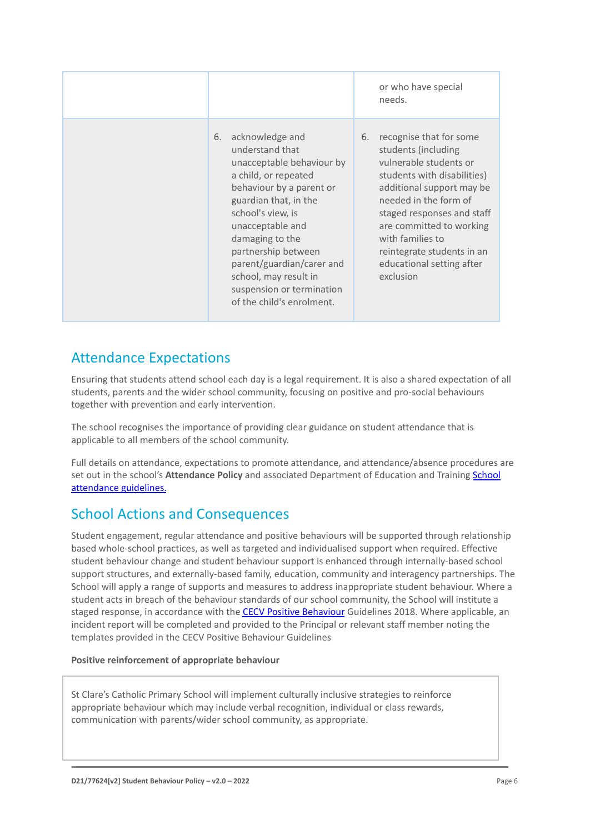|                                                                                                                                                                                                                                                                                                                                                       | or who have special<br>needs.                                                                                                                                                                                                                                                                                             |
|-------------------------------------------------------------------------------------------------------------------------------------------------------------------------------------------------------------------------------------------------------------------------------------------------------------------------------------------------------|---------------------------------------------------------------------------------------------------------------------------------------------------------------------------------------------------------------------------------------------------------------------------------------------------------------------------|
| acknowledge and<br>6.<br>understand that<br>unacceptable behaviour by<br>a child, or repeated<br>behaviour by a parent or<br>guardian that, in the<br>school's view, is<br>unacceptable and<br>damaging to the<br>partnership between<br>parent/guardian/carer and<br>school, may result in<br>suspension or termination<br>of the child's enrolment. | recognise that for some<br>6.<br>students (including<br>vulnerable students or<br>students with disabilities)<br>additional support may be<br>needed in the form of<br>staged responses and staff<br>are committed to working<br>with families to<br>reintegrate students in an<br>educational setting after<br>exclusion |

## Attendance Expectations

Ensuring that students attend school each day is a legal requirement. It is also a shared expectation of all students, parents and the wider school community, focusing on positive and pro-social behaviours together with prevention and early intervention.

The school recognises the importance of providing clear guidance on student attendance that is applicable to all members of the school community.

Full details on attendance, expectations to promote attendance, and attendance/absence procedures are set out in the school's **Attendance Policy** and associated Department of Education and Training [School](https://www2.education.vic.gov.au/pal/attendance/guidance) [attendance guidelines.](https://www2.education.vic.gov.au/pal/attendance/guidance)

### School Actions and Consequences

Student engagement, regular attendance and positive behaviours will be supported through relationship based whole-school practices, as well as targeted and individualised support when required. Effective student behaviour change and student behaviour support is enhanced through internally-based school support structures, and externally-based family, education, community and interagency partnerships. The School will apply a range of supports and measures to address inappropriate student behaviour. Where a student acts in breach of the behaviour standards of our school community, the School will institute a staged response, in accordance with the **[CECV Positive](https://www.cecv.catholic.edu.au/getmedia/bc1d235d-9a98-4bb4-b3ac-84b50fa7c639/CECV-Positive-Behaviour-Guidelines_FINAL2.aspx?ext=.pdf) Behaviour** Guidelines 2018. Where applicable, an incident report will be completed and provided to the Principal or relevant staff member noting the templates provided in the CECV Positive Behaviour Guidelines

#### **Positive reinforcement of appropriate behaviour**

St Clare's Catholic Primary School will implement culturally inclusive strategies to reinforce appropriate behaviour which may include verbal recognition, individual or class rewards, communication with parents/wider school community, as appropriate.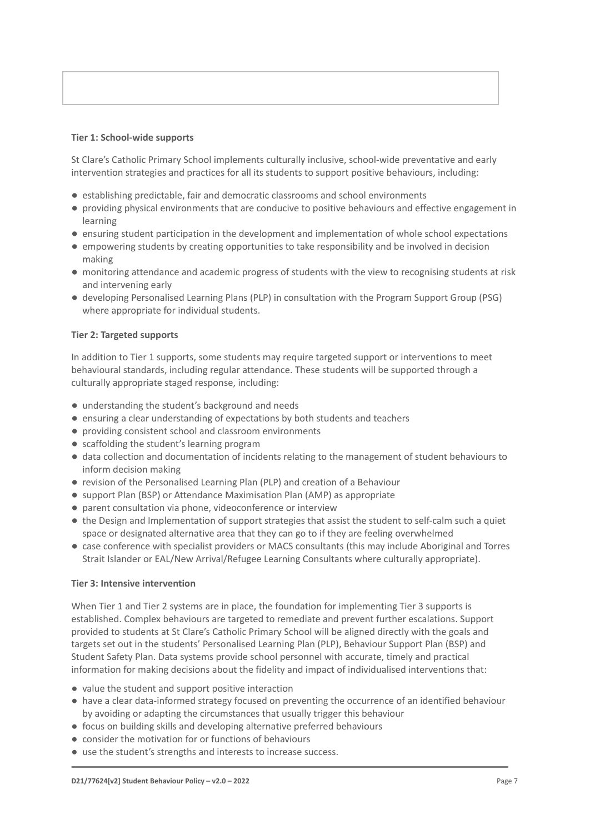#### **Tier 1: School-wide supports**

St Clare's Catholic Primary School implements culturally inclusive, school-wide preventative and early intervention strategies and practices for all its students to support positive behaviours, including:

- establishing predictable, fair and democratic classrooms and school environments
- providing physical environments that are conducive to positive behaviours and effective engagement in learning
- ensuring student participation in the development and implementation of whole school expectations
- empowering students by creating opportunities to take responsibility and be involved in decision making
- monitoring attendance and academic progress of students with the view to recognising students at risk and intervening early
- developing Personalised Learning Plans (PLP) in consultation with the Program Support Group (PSG) where appropriate for individual students.

#### **Tier 2: Targeted supports**

In addition to Tier 1 supports, some students may require targeted support or interventions to meet behavioural standards, including regular attendance. These students will be supported through a culturally appropriate staged response, including:

- understanding the student's background and needs
- ensuring a clear understanding of expectations by both students and teachers
- providing consistent school and classroom environments
- scaffolding the student's learning program
- data collection and documentation of incidents relating to the management of student behaviours to inform decision making
- revision of the Personalised Learning Plan (PLP) and creation of a Behaviour
- support Plan (BSP) or Attendance Maximisation Plan (AMP) as appropriate
- parent consultation via phone, videoconference or interview
- the Design and Implementation of support strategies that assist the student to self-calm such a quiet space or designated alternative area that they can go to if they are feeling overwhelmed
- case conference with specialist providers or MACS consultants (this may include Aboriginal and Torres Strait Islander or EAL/New Arrival/Refugee Learning Consultants where culturally appropriate).

#### **Tier 3: Intensive intervention**

When Tier 1 and Tier 2 systems are in place, the foundation for implementing Tier 3 supports is established. Complex behaviours are targeted to remediate and prevent further escalations. Support provided to students at St Clare's Catholic Primary School will be aligned directly with the goals and targets set out in the students' Personalised Learning Plan (PLP), Behaviour Support Plan (BSP) and Student Safety Plan. Data systems provide school personnel with accurate, timely and practical information for making decisions about the fidelity and impact of individualised interventions that:

- value the student and support positive interaction
- have a clear data-informed strategy focused on preventing the occurrence of an identified behaviour by avoiding or adapting the circumstances that usually trigger this behaviour
- focus on building skills and developing alternative preferred behaviours
- consider the motivation for or functions of behaviours
- use the student's strengths and interests to increase success.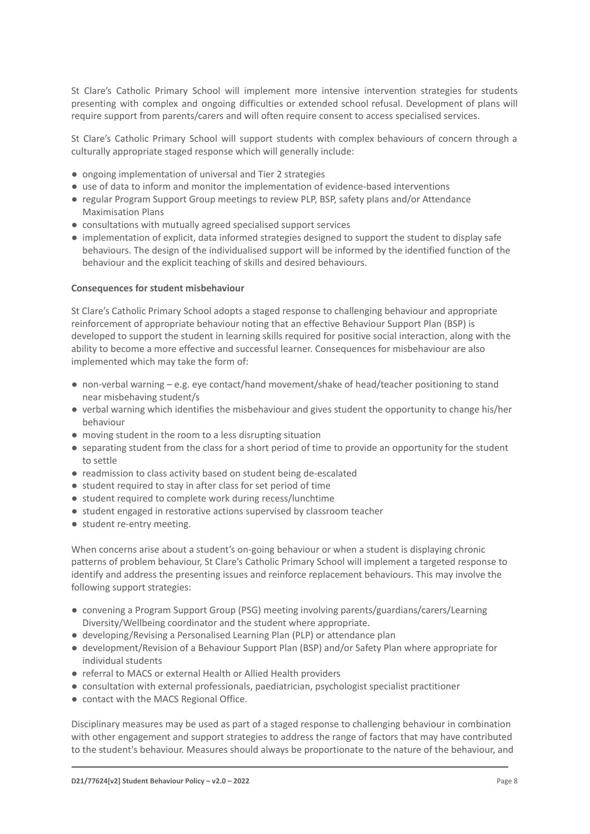St Clare's Catholic Primary School will implement more intensive intervention strategies for students presenting with complex and ongoing difficulties or extended school refusal. Development of plans will require support from parents/carers and will often require consent to access specialised services.

St Clare's Catholic Primary School will support students with complex behaviours of concern through a culturally appropriate staged response which will generally include:

- ongoing implementation of universal and Tier 2 strategies
- use of data to inform and monitor the implementation of evidence-based interventions
- regular Program Support Group meetings to review PLP, BSP, safety plans and/or Attendance Maximisation Plans
- consultations with mutually agreed specialised support services
- implementation of explicit, data informed strategies designed to support the student to display safe behaviours. The design of the individualised support will be informed by the identified function of the behaviour and the explicit teaching of skills and desired behaviours.

#### **Consequences for student misbehaviour**

St Clare's Catholic Primary School adopts a staged response to challenging behaviour and appropriate reinforcement of appropriate behaviour noting that an effective Behaviour Support Plan (BSP) is developed to support the student in learning skills required for positive social interaction, along with the ability to become a more effective and successful learner. Consequences for misbehaviour are also implemented which may take the form of:

- non-verbal warning e.g. eye contact/hand movement/shake of head/teacher positioning to stand near misbehaving student/s
- verbal warning which identifies the misbehaviour and gives student the opportunity to change his/her behaviour
- moving student in the room to a less disrupting situation
- separating student from the class for a short period of time to provide an opportunity for the student to settle
- readmission to class activity based on student being de-escalated
- student required to stay in after class for set period of time
- student required to complete work during recess/lunchtime
- student engaged in restorative actions supervised by classroom teacher
- student re-entry meeting.

When concerns arise about a student's on-going behaviour or when a student is displaying chronic patterns of problem behaviour, St Clare's Catholic Primary School will implement a targeted response to identify and address the presenting issues and reinforce replacement behaviours. This may involve the following support strategies:

- convening a Program Support Group (PSG) meeting involving parents/guardians/carers/Learning Diversity/Wellbeing coordinator and the student where appropriate.
- developing/Revising a Personalised Learning Plan (PLP) or attendance plan
- development/Revision of a Behaviour Support Plan (BSP) and/or Safety Plan where appropriate for individual students
- referral to MACS or external Health or Allied Health providers
- consultation with external professionals, paediatrician, psychologist specialist practitioner
- contact with the MACS Regional Office.

Disciplinary measures may be used as part of a staged response to challenging behaviour in combination with other engagement and support strategies to address the range of factors that may have contributed to the student's behaviour. Measures should always be proportionate to the nature of the behaviour, and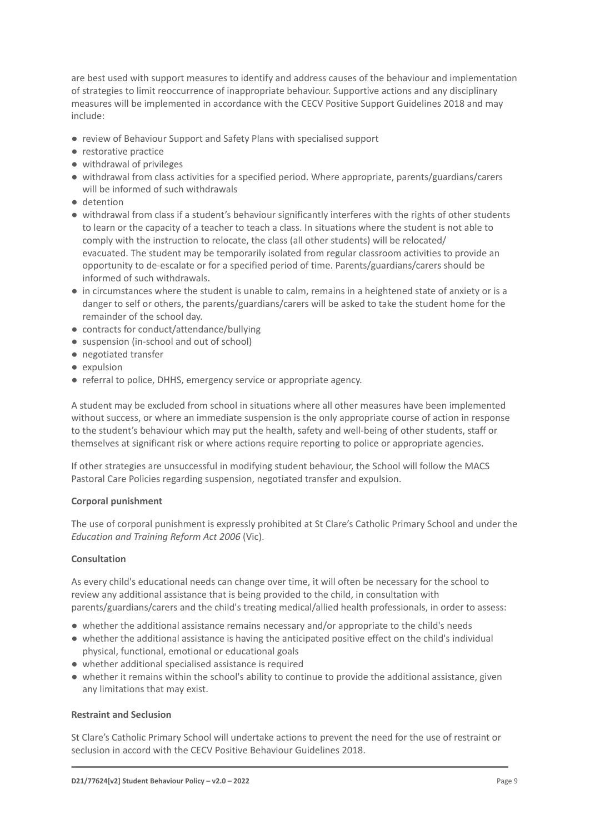are best used with support measures to identify and address causes of the behaviour and implementation of strategies to limit reoccurrence of inappropriate behaviour. Supportive actions and any disciplinary measures will be implemented in accordance with the CECV Positive Support Guidelines 2018 and may include:

- review of Behaviour Support and Safety Plans with specialised support
- restorative practice
- withdrawal of privileges
- withdrawal from class activities for a specified period. Where appropriate, parents/guardians/carers will be informed of such withdrawals
- detention
- withdrawal from class if a student's behaviour significantly interferes with the rights of other students to learn or the capacity of a teacher to teach a class. In situations where the student is not able to comply with the instruction to relocate, the class (all other students) will be relocated/ evacuated. The student may be temporarily isolated from regular classroom activities to provide an opportunity to de-escalate or for a specified period of time. Parents/guardians/carers should be informed of such withdrawals.
- in circumstances where the student is unable to calm, remains in a heightened state of anxiety or is a danger to self or others, the parents/guardians/carers will be asked to take the student home for the remainder of the school day.
- contracts for conduct/attendance/bullying
- suspension (in-school and out of school)
- negotiated transfer
- expulsion
- referral to police, DHHS, emergency service or appropriate agency.

A student may be excluded from school in situations where all other measures have been implemented without success, or where an immediate suspension is the only appropriate course of action in response to the student's behaviour which may put the health, safety and well-being of other students, staff or themselves at significant risk or where actions require reporting to police or appropriate agencies.

If other strategies are unsuccessful in modifying student behaviour, the School will follow the MACS Pastoral Care Policies regarding suspension, negotiated transfer and expulsion.

#### **Corporal punishment**

The use of corporal punishment is expressly prohibited at St Clare's Catholic Primary School and under the *Education and Training Reform Act 2006* (Vic).

#### **Consultation**

As every child's educational needs can change over time, it will often be necessary for the school to review any additional assistance that is being provided to the child, in consultation with parents/guardians/carers and the child's treating medical/allied health professionals, in order to assess:

- whether the additional assistance remains necessary and/or appropriate to the child's needs
- whether the additional assistance is having the anticipated positive effect on the child's individual physical, functional, emotional or educational goals
- whether additional specialised assistance is required
- whether it remains within the school's ability to continue to provide the additional assistance, given any limitations that may exist.

#### **Restraint and Seclusion**

St Clare's Catholic Primary School will undertake actions to prevent the need for the use of restraint or seclusion in accord with the CECV Positive Behaviour Guidelines 2018.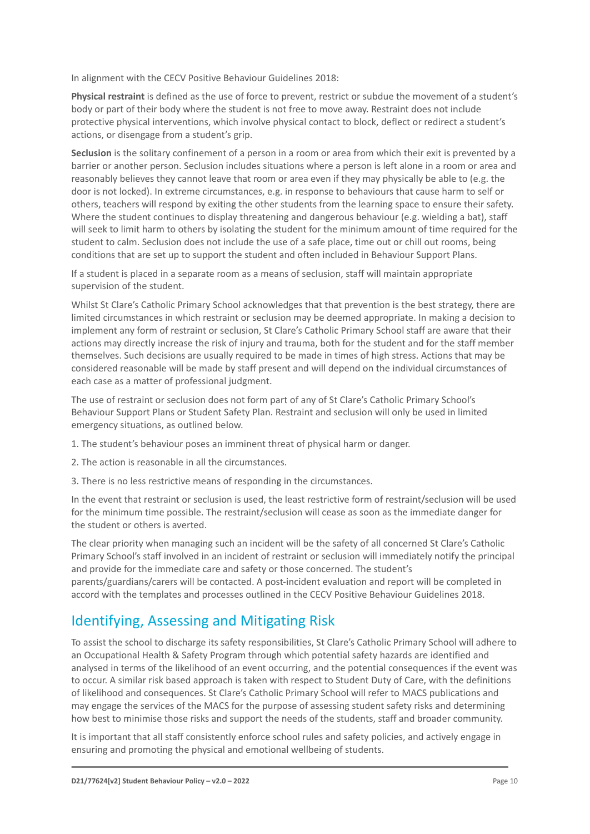In alignment with the CECV Positive Behaviour Guidelines 2018:

**Physical restraint** is defined as the use of force to prevent, restrict or subdue the movement of a student's body or part of their body where the student is not free to move away. Restraint does not include protective physical interventions, which involve physical contact to block, deflect or redirect a student's actions, or disengage from a student's grip.

**Seclusion** is the solitary confinement of a person in a room or area from which their exit is prevented by a barrier or another person. Seclusion includes situations where a person is left alone in a room or area and reasonably believes they cannot leave that room or area even if they may physically be able to (e.g. the door is not locked). In extreme circumstances, e.g. in response to behaviours that cause harm to self or others, teachers will respond by exiting the other students from the learning space to ensure their safety. Where the student continues to display threatening and dangerous behaviour (e.g. wielding a bat), staff will seek to limit harm to others by isolating the student for the minimum amount of time required for the student to calm. Seclusion does not include the use of a safe place, time out or chill out rooms, being conditions that are set up to support the student and often included in Behaviour Support Plans.

If a student is placed in a separate room as a means of seclusion, staff will maintain appropriate supervision of the student.

Whilst St Clare's Catholic Primary School acknowledges that that prevention is the best strategy, there are limited circumstances in which restraint or seclusion may be deemed appropriate. In making a decision to implement any form of restraint or seclusion, St Clare's Catholic Primary School staff are aware that their actions may directly increase the risk of injury and trauma, both for the student and for the staff member themselves. Such decisions are usually required to be made in times of high stress. Actions that may be considered reasonable will be made by staff present and will depend on the individual circumstances of each case as a matter of professional judgment.

The use of restraint or seclusion does not form part of any of St Clare's Catholic Primary School's Behaviour Support Plans or Student Safety Plan. Restraint and seclusion will only be used in limited emergency situations, as outlined below.

- 1. The student's behaviour poses an imminent threat of physical harm or danger.
- 2. The action is reasonable in all the circumstances.
- 3. There is no less restrictive means of responding in the circumstances.

In the event that restraint or seclusion is used, the least restrictive form of restraint/seclusion will be used for the minimum time possible. The restraint/seclusion will cease as soon as the immediate danger for the student or others is averted.

The clear priority when managing such an incident will be the safety of all concerned St Clare's Catholic Primary School's staff involved in an incident of restraint or seclusion will immediately notify the principal and provide for the immediate care and safety or those concerned. The student's parents/guardians/carers will be contacted. A post-incident evaluation and report will be completed in accord with the templates and processes outlined in the CECV Positive Behaviour Guidelines 2018.

## Identifying, Assessing and Mitigating Risk

To assist the school to discharge its safety responsibilities, St Clare's Catholic Primary School will adhere to an Occupational Health & Safety Program through which potential safety hazards are identified and analysed in terms of the likelihood of an event occurring, and the potential consequences if the event was to occur. A similar risk based approach is taken with respect to Student Duty of Care, with the definitions of likelihood and consequences. St Clare's Catholic Primary School will refer to MACS publications and may engage the services of the MACS for the purpose of assessing student safety risks and determining how best to minimise those risks and support the needs of the students, staff and broader community.

It is important that all staff consistently enforce school rules and safety policies, and actively engage in ensuring and promoting the physical and emotional wellbeing of students.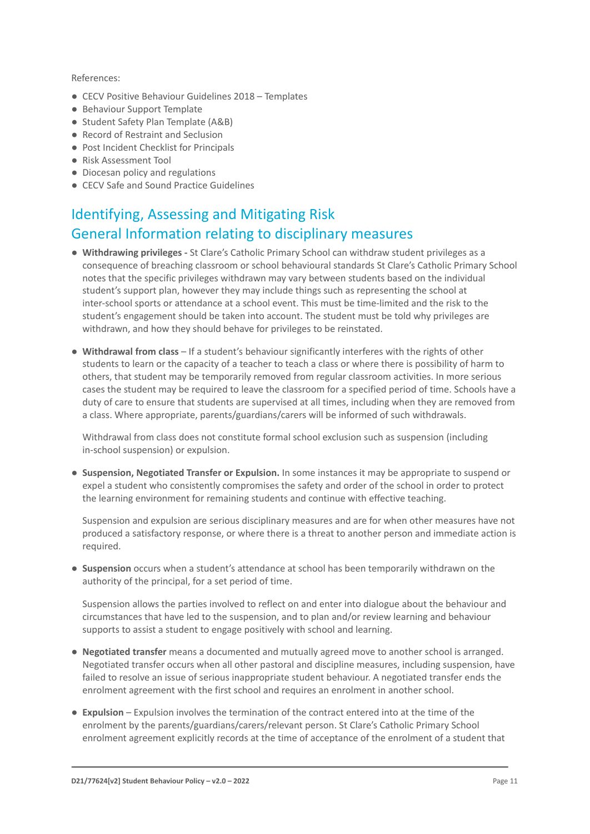#### References:

- CECV Positive Behaviour Guidelines 2018 Templates
- Behaviour Support Template
- Student Safety Plan Template (A&B)
- Record of Restraint and Seclusion
- Post Incident Checklist for Principals
- Risk Assessment Tool
- Diocesan policy and regulations
- CECV Safe and Sound Practice Guidelines

## Identifying, Assessing and Mitigating Risk General Information relating to disciplinary measures

- **Withdrawing privileges -** St Clare's Catholic Primary School can withdraw student privileges as a consequence of breaching classroom or school behavioural standards St Clare's Catholic Primary School notes that the specific privileges withdrawn may vary between students based on the individual student's support plan, however they may include things such as representing the school at inter-school sports or attendance at a school event. This must be time-limited and the risk to the student's engagement should be taken into account. The student must be told why privileges are withdrawn, and how they should behave for privileges to be reinstated.
- **Withdrawal from class** If a student's behaviour significantly interferes with the rights of other students to learn or the capacity of a teacher to teach a class or where there is possibility of harm to others, that student may be temporarily removed from regular classroom activities. In more serious cases the student may be required to leave the classroom for a specified period of time. Schools have a duty of care to ensure that students are supervised at all times, including when they are removed from a class. Where appropriate, parents/guardians/carers will be informed of such withdrawals.

Withdrawal from class does not constitute formal school exclusion such as suspension (including in-school suspension) or expulsion.

● **Suspension, Negotiated Transfer or Expulsion.** In some instances it may be appropriate to suspend or expel a student who consistently compromises the safety and order of the school in order to protect the learning environment for remaining students and continue with effective teaching.

Suspension and expulsion are serious disciplinary measures and are for when other measures have not produced a satisfactory response, or where there is a threat to another person and immediate action is required.

● **Suspension** occurs when a student's attendance at school has been temporarily withdrawn on the authority of the principal, for a set period of time.

Suspension allows the parties involved to reflect on and enter into dialogue about the behaviour and circumstances that have led to the suspension, and to plan and/or review learning and behaviour supports to assist a student to engage positively with school and learning.

- **Negotiated transfer** means a documented and mutually agreed move to another school is arranged. Negotiated transfer occurs when all other pastoral and discipline measures, including suspension, have failed to resolve an issue of serious inappropriate student behaviour. A negotiated transfer ends the enrolment agreement with the first school and requires an enrolment in another school.
- **Expulsion** Expulsion involves the termination of the contract entered into at the time of the enrolment by the parents/guardians/carers/relevant person. St Clare's Catholic Primary School enrolment agreement explicitly records at the time of acceptance of the enrolment of a student that